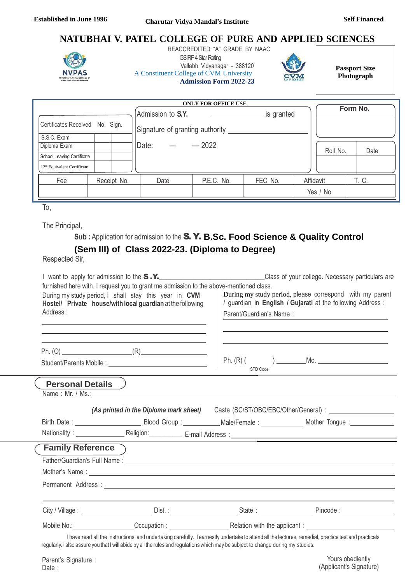# **NATUBHAI V. PATEL COLLEGE OF PURE AND APPLIED SCIENCES**



 REACCREDITED "A" GRADE BY NAAC **GSIRF 4 Star Rating** Vallabh Vidyanagar - 388120 A Constituent College of CVM University **Admission Form 2022-23**



**Passport Size Photograph**

(Applicant's Signature)

|                                         |           |             |                                                      | <b>ONLY FOR OFFICE USE</b> |            |           |          |
|-----------------------------------------|-----------|-------------|------------------------------------------------------|----------------------------|------------|-----------|----------|
| Certificates Received                   | No. Sign. |             | Admission to S.Y.<br>Signature of granting authority |                            | is granted |           | Form No. |
| S.S.C. Exam<br>Diploma Exam             |           |             | Date:                                                | $-2022$                    |            | Roll No.  | Date     |
| School Leaving Certificate              |           |             |                                                      |                            |            |           |          |
| 12 <sup>th</sup> Equivalent Certificate |           |             |                                                      |                            |            |           |          |
| Fee                                     |           | Receipt No. | Date                                                 | P.E.C. No.                 | FEC No.    | Affidavit | T. C.    |
|                                         |           |             |                                                      |                            |            | Yes / No  |          |

To,

The Principal,

**Sub :** Application for admission to the S. Y. **B.Sc. Food Science & Quality Control**

# **(Sem III) of Class 2022-23. (Diploma to Degree)**

Respected Sir,

Date :

|                         |                                                                                                                                                                                                                                                                                           |                         | I want to apply for admission to the S.Y. Class of your college. Necessary particulars are                                                                                                                                          |
|-------------------------|-------------------------------------------------------------------------------------------------------------------------------------------------------------------------------------------------------------------------------------------------------------------------------------------|-------------------------|-------------------------------------------------------------------------------------------------------------------------------------------------------------------------------------------------------------------------------------|
| Address:                | furnished here with. I request you to grant me admission to the above-mentioned class.<br>During my study period, I shall stay this year in CVM<br>Hostel/ Private house/with local guardian at the following                                                                             | Parent/Guardian's Name: | During my study period, please correspond with my parent<br>/ guardian in English / Gujarati at the following Address :                                                                                                             |
|                         |                                                                                                                                                                                                                                                                                           | STD Code                |                                                                                                                                                                                                                                     |
| <b>Personal Details</b> |                                                                                                                                                                                                                                                                                           |                         |                                                                                                                                                                                                                                     |
|                         |                                                                                                                                                                                                                                                                                           |                         | (As printed in the Diploma mark sheet) Caste (SC/ST/OBC/EBC/Other/General) :                                                                                                                                                        |
|                         |                                                                                                                                                                                                                                                                                           |                         |                                                                                                                                                                                                                                     |
|                         |                                                                                                                                                                                                                                                                                           |                         |                                                                                                                                                                                                                                     |
| <b>Family Reference</b> |                                                                                                                                                                                                                                                                                           |                         |                                                                                                                                                                                                                                     |
|                         |                                                                                                                                                                                                                                                                                           |                         |                                                                                                                                                                                                                                     |
|                         |                                                                                                                                                                                                                                                                                           |                         |                                                                                                                                                                                                                                     |
|                         |                                                                                                                                                                                                                                                                                           |                         | Permanent Address: <u>Communications</u> Contract Contract Contract Contract Contract Contract Contract Contract Contract Contract Contract Contract Contract Contract Contract Contract Contract Contract Contract Contract Contra |
|                         |                                                                                                                                                                                                                                                                                           |                         |                                                                                                                                                                                                                                     |
|                         |                                                                                                                                                                                                                                                                                           |                         | Mobile No.: Cocupation : Cocupation : Relation with the applicant :                                                                                                                                                                 |
|                         | I have read all the instructions and undertaking carefully. I earnestly undertake to attend all the lectures, remedial, practice test and practicals<br>regularly. I also assure you that I will abide by all the rules and regulations which may be subject to change during my studies. |                         |                                                                                                                                                                                                                                     |
| Parent's Signature :    |                                                                                                                                                                                                                                                                                           |                         | Yours obediently                                                                                                                                                                                                                    |